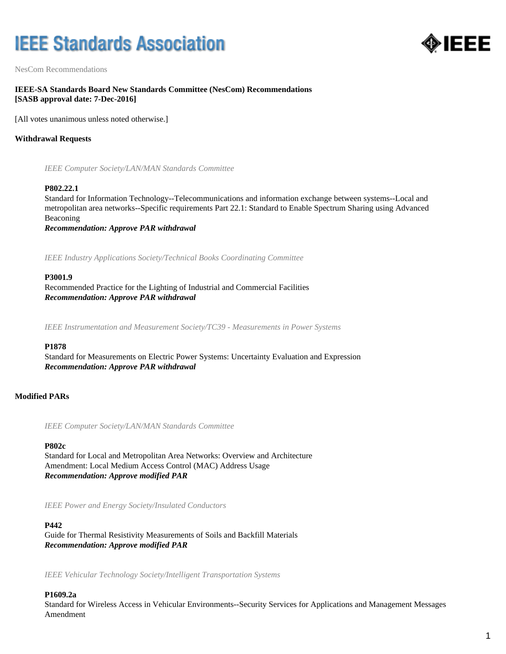# **IEEE Standards Association**



NesCom Recommendations

# **IEEE-SA Standards Board New Standards Committee (NesCom) Recommendations [SASB approval date: 7-Dec-2016]**

[All votes unanimous unless noted otherwise.]

# **Withdrawal Requests**

*IEEE Computer Society/LAN/MAN Standards Committee*

#### **P802.22.1**

Standard for Information Technology--Telecommunications and information exchange between systems--Local and metropolitan area networks--Specific requirements Part 22.1: Standard to Enable Spectrum Sharing using Advanced Beaconing

*Recommendation: Approve PAR withdrawal*

*IEEE Industry Applications Society/Technical Books Coordinating Committee*

#### **P3001.9**

Recommended Practice for the Lighting of Industrial and Commercial Facilities *Recommendation: Approve PAR withdrawal*

*IEEE Instrumentation and Measurement Society/TC39 - Measurements in Power Systems*

#### **P1878**

Standard for Measurements on Electric Power Systems: Uncertainty Evaluation and Expression *Recommendation: Approve PAR withdrawal*

# **Modified PARs**

*IEEE Computer Society/LAN/MAN Standards Committee*

#### **P802c**

Standard for Local and Metropolitan Area Networks: Overview and Architecture Amendment: Local Medium Access Control (MAC) Address Usage *Recommendation: Approve modified PAR*

*IEEE Power and Energy Society/Insulated Conductors*

#### **P442**

Guide for Thermal Resistivity Measurements of Soils and Backfill Materials *Recommendation: Approve modified PAR*

*IEEE Vehicular Technology Society/Intelligent Transportation Systems*

# **P1609.2a**

Standard for Wireless Access in Vehicular Environments--Security Services for Applications and Management Messages Amendment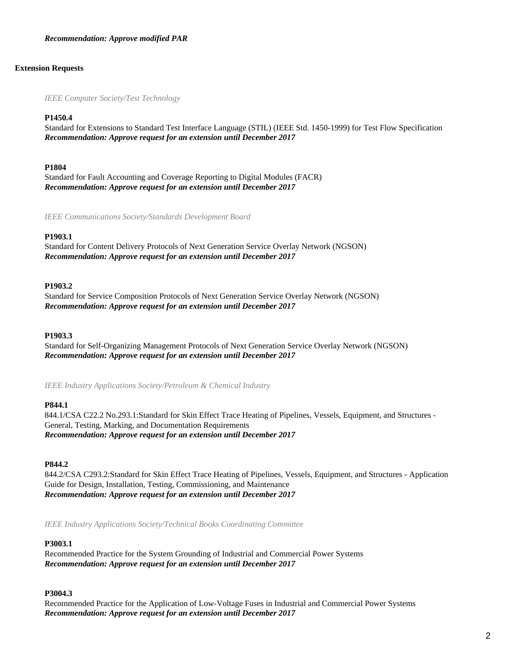### *Recommendation: Approve modified PAR*

### **Extension Requests**

*IEEE Computer Society/Test Technology*

#### **P1450.4**

Standard for Extensions to Standard Test Interface Language (STIL) (IEEE Std. 1450-1999) for Test Flow Specification *Recommendation: Approve request for an extension until December 2017*

#### **P1804**

Standard for Fault Accounting and Coverage Reporting to Digital Modules (FACR) *Recommendation: Approve request for an extension until December 2017*

*IEEE Communications Society/Standards Development Board*

# **P1903.1**

Standard for Content Delivery Protocols of Next Generation Service Overlay Network (NGSON) *Recommendation: Approve request for an extension until December 2017*

### **P1903.2**

Standard for Service Composition Protocols of Next Generation Service Overlay Network (NGSON) *Recommendation: Approve request for an extension until December 2017*

#### **P1903.3**

Standard for Self-Organizing Management Protocols of Next Generation Service Overlay Network (NGSON) *Recommendation: Approve request for an extension until December 2017*

*IEEE Industry Applications Society/Petroleum & Chemical Industry*

#### **P844.1**

844.1/CSA C22.2 No.293.1:Standard for Skin Effect Trace Heating of Pipelines, Vessels, Equipment, and Structures - General, Testing, Marking, and Documentation Requirements *Recommendation: Approve request for an extension until December 2017*

#### **P844.2**

844.2/CSA C293.2:Standard for Skin Effect Trace Heating of Pipelines, Vessels, Equipment, and Structures - Application Guide for Design, Installation, Testing, Commissioning, and Maintenance *Recommendation: Approve request for an extension until December 2017*

*IEEE Industry Applications Society/Technical Books Coordinating Committee*

#### **P3003.1**

Recommended Practice for the System Grounding of Industrial and Commercial Power Systems *Recommendation: Approve request for an extension until December 2017*

#### **P3004.3**

Recommended Practice for the Application of Low-Voltage Fuses in Industrial and Commercial Power Systems *Recommendation: Approve request for an extension until December 2017*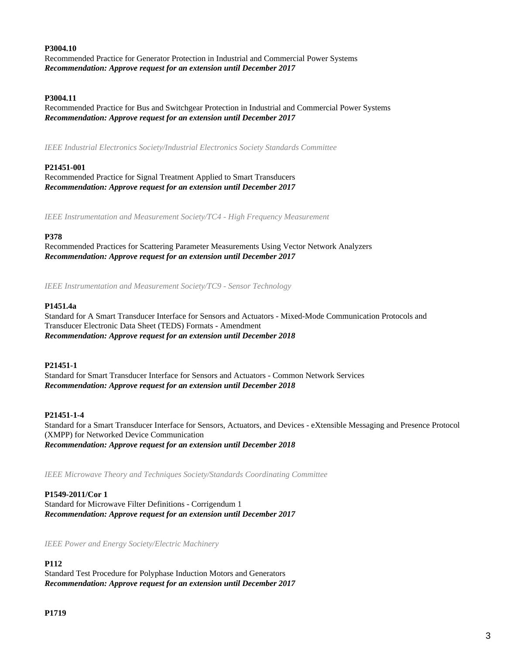### **P3004.10**

Recommended Practice for Generator Protection in Industrial and Commercial Power Systems *Recommendation: Approve request for an extension until December 2017*

#### **P3004.11**

Recommended Practice for Bus and Switchgear Protection in Industrial and Commercial Power Systems *Recommendation: Approve request for an extension until December 2017*

*IEEE Industrial Electronics Society/Industrial Electronics Society Standards Committee*

### **P21451-001**

Recommended Practice for Signal Treatment Applied to Smart Transducers *Recommendation: Approve request for an extension until December 2017*

*IEEE Instrumentation and Measurement Society/TC4 - High Frequency Measurement*

#### **P378**

Recommended Practices for Scattering Parameter Measurements Using Vector Network Analyzers *Recommendation: Approve request for an extension until December 2017*

*IEEE Instrumentation and Measurement Society/TC9 - Sensor Technology*

### **P1451.4a**

Standard for A Smart Transducer Interface for Sensors and Actuators - Mixed-Mode Communication Protocols and Transducer Electronic Data Sheet (TEDS) Formats - Amendment *Recommendation: Approve request for an extension until December 2018*

#### **P21451-1**

Standard for Smart Transducer Interface for Sensors and Actuators - Common Network Services *Recommendation: Approve request for an extension until December 2018*

# **P21451-1-4**

Standard for a Smart Transducer Interface for Sensors, Actuators, and Devices - eXtensible Messaging and Presence Protocol (XMPP) for Networked Device Communication *Recommendation: Approve request for an extension until December 2018*

*IEEE Microwave Theory and Techniques Society/Standards Coordinating Committee*

**P1549-2011/Cor 1** Standard for Microwave Filter Definitions - Corrigendum 1 *Recommendation: Approve request for an extension until December 2017*

*IEEE Power and Energy Society/Electric Machinery*

# **P112**

Standard Test Procedure for Polyphase Induction Motors and Generators *Recommendation: Approve request for an extension until December 2017*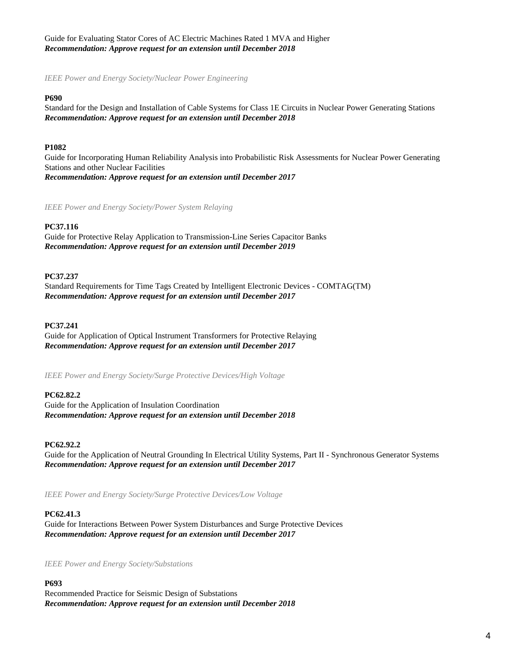# Guide for Evaluating Stator Cores of AC Electric Machines Rated 1 MVA and Higher *Recommendation: Approve request for an extension until December 2018*

*IEEE Power and Energy Society/Nuclear Power Engineering*

#### **P690**

Standard for the Design and Installation of Cable Systems for Class 1E Circuits in Nuclear Power Generating Stations *Recommendation: Approve request for an extension until December 2018*

# **P1082**

Guide for Incorporating Human Reliability Analysis into Probabilistic Risk Assessments for Nuclear Power Generating Stations and other Nuclear Facilities *Recommendation: Approve request for an extension until December 2017*

*IEEE Power and Energy Society/Power System Relaying*

# **PC37.116**

Guide for Protective Relay Application to Transmission-Line Series Capacitor Banks *Recommendation: Approve request for an extension until December 2019*

# **PC37.237**

Standard Requirements for Time Tags Created by Intelligent Electronic Devices - COMTAG(TM) *Recommendation: Approve request for an extension until December 2017*

# **PC37.241**

Guide for Application of Optical Instrument Transformers for Protective Relaying *Recommendation: Approve request for an extension until December 2017*

*IEEE Power and Energy Society/Surge Protective Devices/High Voltage*

# **PC62.82.2**

Guide for the Application of Insulation Coordination *Recommendation: Approve request for an extension until December 2018*

# **PC62.92.2**

Guide for the Application of Neutral Grounding In Electrical Utility Systems, Part II - Synchronous Generator Systems *Recommendation: Approve request for an extension until December 2017*

*IEEE Power and Energy Society/Surge Protective Devices/Low Voltage*

# **PC62.41.3**

Guide for Interactions Between Power System Disturbances and Surge Protective Devices *Recommendation: Approve request for an extension until December 2017*

*IEEE Power and Energy Society/Substations*

# **P693**

Recommended Practice for Seismic Design of Substations *Recommendation: Approve request for an extension until December 2018*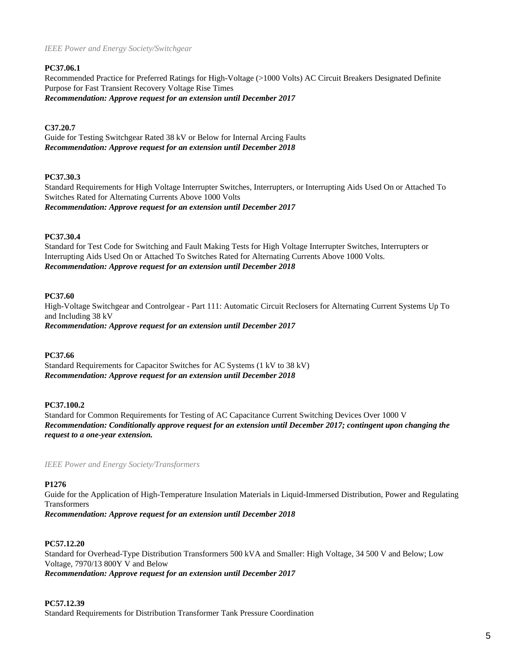### *IEEE Power and Energy Society/Switchgear*

# **PC37.06.1**

Recommended Practice for Preferred Ratings for High-Voltage (>1000 Volts) AC Circuit Breakers Designated Definite Purpose for Fast Transient Recovery Voltage Rise Times *Recommendation: Approve request for an extension until December 2017*

# **C37.20.7**

Guide for Testing Switchgear Rated 38 kV or Below for Internal Arcing Faults *Recommendation: Approve request for an extension until December 2018*

#### **PC37.30.3**

Standard Requirements for High Voltage Interrupter Switches, Interrupters, or Interrupting Aids Used On or Attached To Switches Rated for Alternating Currents Above 1000 Volts *Recommendation: Approve request for an extension until December 2017*

#### **PC37.30.4**

Standard for Test Code for Switching and Fault Making Tests for High Voltage Interrupter Switches, Interrupters or Interrupting Aids Used On or Attached To Switches Rated for Alternating Currents Above 1000 Volts. *Recommendation: Approve request for an extension until December 2018*

#### **PC37.60**

High-Voltage Switchgear and Controlgear - Part 111: Automatic Circuit Reclosers for Alternating Current Systems Up To and Including 38 kV *Recommendation: Approve request for an extension until December 2017*

**PC37.66**

Standard Requirements for Capacitor Switches for AC Systems (1 kV to 38 kV) *Recommendation: Approve request for an extension until December 2018*

# **PC37.100.2**

Standard for Common Requirements for Testing of AC Capacitance Current Switching Devices Over 1000 V *Recommendation: Conditionally approve request for an extension until December 2017; contingent upon changing the request to a one-year extension.*

*IEEE Power and Energy Society/Transformers*

#### **P1276**

Guide for the Application of High-Temperature Insulation Materials in Liquid-Immersed Distribution, Power and Regulating Transformers *Recommendation: Approve request for an extension until December 2018*

#### **PC57.12.20**

Standard for Overhead-Type Distribution Transformers 500 kVA and Smaller: High Voltage, 34 500 V and Below; Low Voltage, 7970/13 800Y V and Below *Recommendation: Approve request for an extension until December 2017*

#### **PC57.12.39**

Standard Requirements for Distribution Transformer Tank Pressure Coordination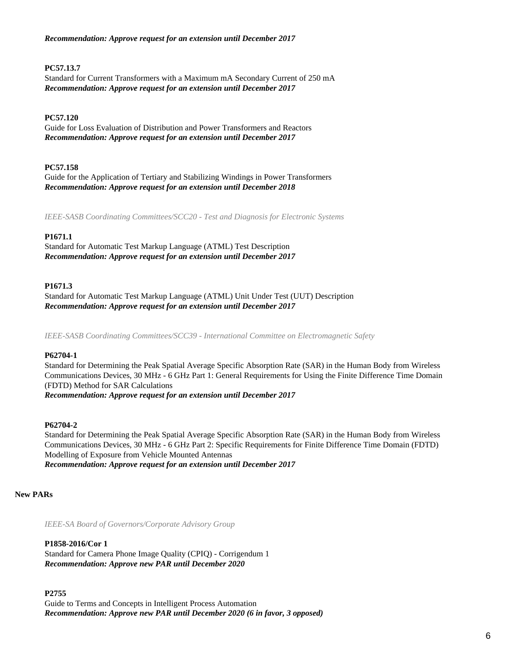*Recommendation: Approve request for an extension until December 2017*

# **PC57.13.7**

Standard for Current Transformers with a Maximum mA Secondary Current of 250 mA *Recommendation: Approve request for an extension until December 2017*

# **PC57.120**

Guide for Loss Evaluation of Distribution and Power Transformers and Reactors *Recommendation: Approve request for an extension until December 2017*

# **PC57.158**

Guide for the Application of Tertiary and Stabilizing Windings in Power Transformers *Recommendation: Approve request for an extension until December 2018*

*IEEE-SASB Coordinating Committees/SCC20 - Test and Diagnosis for Electronic Systems*

# **P1671.1**

Standard for Automatic Test Markup Language (ATML) Test Description *Recommendation: Approve request for an extension until December 2017*

# **P1671.3**

Standard for Automatic Test Markup Language (ATML) Unit Under Test (UUT) Description *Recommendation: Approve request for an extension until December 2017*

*IEEE-SASB Coordinating Committees/SCC39 - International Committee on Electromagnetic Safety*

# **P62704-1**

Standard for Determining the Peak Spatial Average Specific Absorption Rate (SAR) in the Human Body from Wireless Communications Devices, 30 MHz - 6 GHz Part 1: General Requirements for Using the Finite Difference Time Domain (FDTD) Method for SAR Calculations

*Recommendation: Approve request for an extension until December 2017*

# **P62704-2**

Standard for Determining the Peak Spatial Average Specific Absorption Rate (SAR) in the Human Body from Wireless Communications Devices, 30 MHz - 6 GHz Part 2: Specific Requirements for Finite Difference Time Domain (FDTD) Modelling of Exposure from Vehicle Mounted Antennas *Recommendation: Approve request for an extension until December 2017*

# **New PARs**

*IEEE-SA Board of Governors/Corporate Advisory Group*

**P1858-2016/Cor 1** Standard for Camera Phone Image Quality (CPIQ) - Corrigendum 1 *Recommendation: Approve new PAR until December 2020*

**P2755** Guide to Terms and Concepts in Intelligent Process Automation *Recommendation: Approve new PAR until December 2020 (6 in favor, 3 opposed)*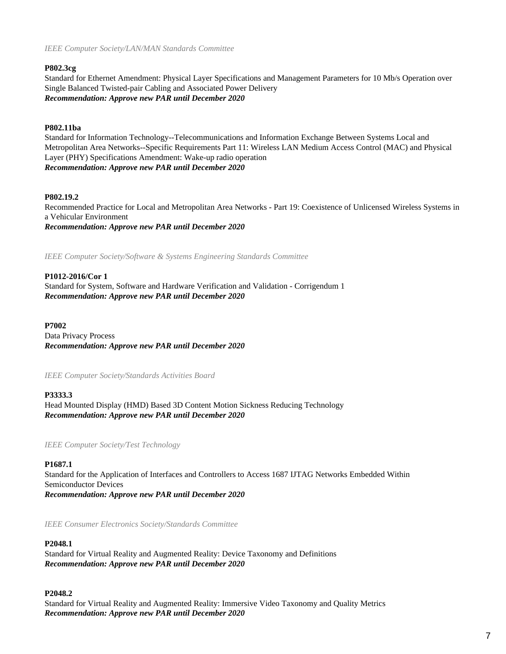*IEEE Computer Society/LAN/MAN Standards Committee*

# **P802.3cg**

Standard for Ethernet Amendment: Physical Layer Specifications and Management Parameters for 10 Mb/s Operation over Single Balanced Twisted-pair Cabling and Associated Power Delivery *Recommendation: Approve new PAR until December 2020*

# **P802.11ba**

Standard for Information Technology--Telecommunications and Information Exchange Between Systems Local and Metropolitan Area Networks--Specific Requirements Part 11: Wireless LAN Medium Access Control (MAC) and Physical Layer (PHY) Specifications Amendment: Wake-up radio operation *Recommendation: Approve new PAR until December 2020*

# **P802.19.2**

Recommended Practice for Local and Metropolitan Area Networks - Part 19: Coexistence of Unlicensed Wireless Systems in a Vehicular Environment *Recommendation: Approve new PAR until December 2020*

*IEEE Computer Society/Software & Systems Engineering Standards Committee*

# **P1012-2016/Cor 1**

Standard for System, Software and Hardware Verification and Validation - Corrigendum 1 *Recommendation: Approve new PAR until December 2020*

**P7002** Data Privacy Process *Recommendation: Approve new PAR until December 2020*

*IEEE Computer Society/Standards Activities Board*

# **P3333.3**

Head Mounted Display (HMD) Based 3D Content Motion Sickness Reducing Technology *Recommendation: Approve new PAR until December 2020*

*IEEE Computer Society/Test Technology*

# **P1687.1**

Standard for the Application of Interfaces and Controllers to Access 1687 IJTAG Networks Embedded Within Semiconductor Devices *Recommendation: Approve new PAR until December 2020*

*IEEE Consumer Electronics Society/Standards Committee*

# **P2048.1**

Standard for Virtual Reality and Augmented Reality: Device Taxonomy and Definitions *Recommendation: Approve new PAR until December 2020*

# **P2048.2**

Standard for Virtual Reality and Augmented Reality: Immersive Video Taxonomy and Quality Metrics *Recommendation: Approve new PAR until December 2020*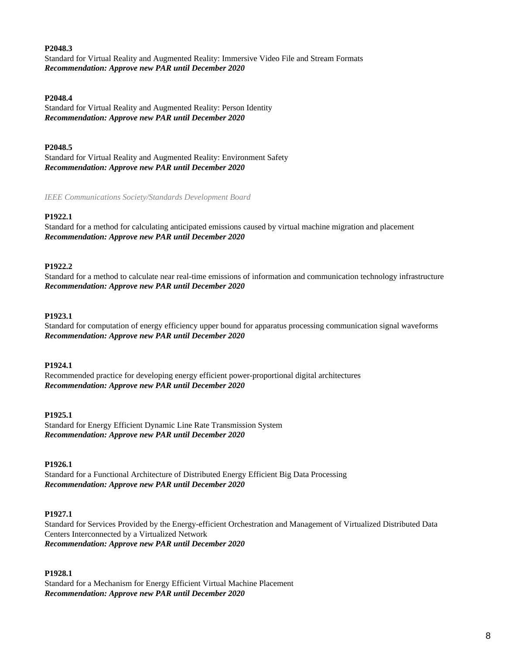### **P2048.3**

Standard for Virtual Reality and Augmented Reality: Immersive Video File and Stream Formats *Recommendation: Approve new PAR until December 2020*

#### **P2048.4**

Standard for Virtual Reality and Augmented Reality: Person Identity *Recommendation: Approve new PAR until December 2020*

### **P2048.5**

Standard for Virtual Reality and Augmented Reality: Environment Safety *Recommendation: Approve new PAR until December 2020*

*IEEE Communications Society/Standards Development Board*

#### **P1922.1**

Standard for a method for calculating anticipated emissions caused by virtual machine migration and placement *Recommendation: Approve new PAR until December 2020*

#### **P1922.2**

Standard for a method to calculate near real-time emissions of information and communication technology infrastructure *Recommendation: Approve new PAR until December 2020*

#### **P1923.1**

Standard for computation of energy efficiency upper bound for apparatus processing communication signal waveforms *Recommendation: Approve new PAR until December 2020*

#### **P1924.1**

Recommended practice for developing energy efficient power-proportional digital architectures *Recommendation: Approve new PAR until December 2020*

#### **P1925.1**

Standard for Energy Efficient Dynamic Line Rate Transmission System *Recommendation: Approve new PAR until December 2020*

#### **P1926.1**

Standard for a Functional Architecture of Distributed Energy Efficient Big Data Processing *Recommendation: Approve new PAR until December 2020*

#### **P1927.1**

Standard for Services Provided by the Energy-efficient Orchestration and Management of Virtualized Distributed Data Centers Interconnected by a Virtualized Network *Recommendation: Approve new PAR until December 2020*

#### **P1928.1**

Standard for a Mechanism for Energy Efficient Virtual Machine Placement *Recommendation: Approve new PAR until December 2020*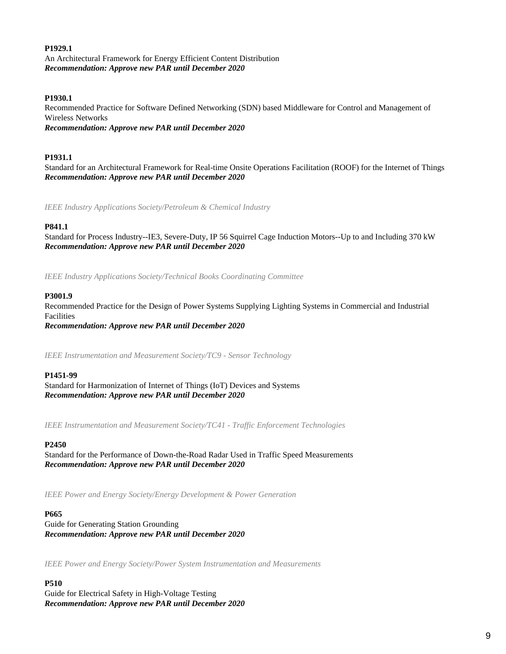#### **P1929.1**

An Architectural Framework for Energy Efficient Content Distribution *Recommendation: Approve new PAR until December 2020*

#### **P1930.1**

Recommended Practice for Software Defined Networking (SDN) based Middleware for Control and Management of Wireless Networks *Recommendation: Approve new PAR until December 2020*

#### **P1931.1**

Standard for an Architectural Framework for Real-time Onsite Operations Facilitation (ROOF) for the Internet of Things *Recommendation: Approve new PAR until December 2020*

*IEEE Industry Applications Society/Petroleum & Chemical Industry*

#### **P841.1**

Standard for Process Industry--IE3, Severe-Duty, IP 56 Squirrel Cage Induction Motors--Up to and Including 370 kW *Recommendation: Approve new PAR until December 2020*

*IEEE Industry Applications Society/Technical Books Coordinating Committee*

#### **P3001.9**

Recommended Practice for the Design of Power Systems Supplying Lighting Systems in Commercial and Industrial Facilities *Recommendation: Approve new PAR until December 2020*

*IEEE Instrumentation and Measurement Society/TC9 - Sensor Technology*

#### **P1451-99**

Standard for Harmonization of Internet of Things (IoT) Devices and Systems *Recommendation: Approve new PAR until December 2020*

*IEEE Instrumentation and Measurement Society/TC41 - Traffic Enforcement Technologies*

#### **P2450**

Standard for the Performance of Down-the-Road Radar Used in Traffic Speed Measurements *Recommendation: Approve new PAR until December 2020*

*IEEE Power and Energy Society/Energy Development & Power Generation*

#### **P665**

Guide for Generating Station Grounding *Recommendation: Approve new PAR until December 2020*

*IEEE Power and Energy Society/Power System Instrumentation and Measurements*

#### **P510**

Guide for Electrical Safety in High-Voltage Testing *Recommendation: Approve new PAR until December 2020*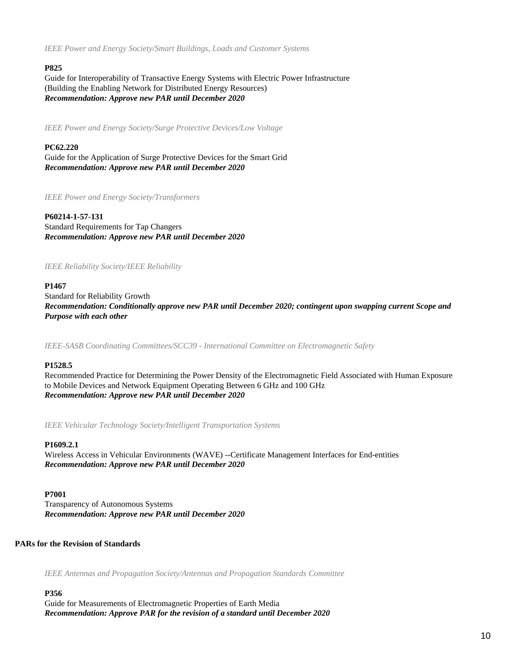*IEEE Power and Energy Society/Smart Buildings, Loads and Customer Systems*

# **P825**

Guide for Interoperability of Transactive Energy Systems with Electric Power Infrastructure (Building the Enabling Network for Distributed Energy Resources) *Recommendation: Approve new PAR until December 2020*

*IEEE Power and Energy Society/Surge Protective Devices/Low Voltage*

### **PC62.220** Guide for the Application of Surge Protective Devices for the Smart Grid *Recommendation: Approve new PAR until December 2020*

*IEEE Power and Energy Society/Transformers*

**P60214-1-57-131** Standard Requirements for Tap Changers *Recommendation: Approve new PAR until December 2020*

#### *IEEE Reliability Society/IEEE Reliability*

# **P1467**

Standard for Reliability Growth *Recommendation: Conditionally approve new PAR until December 2020; contingent upon swapping current Scope and Purpose with each other*

*IEEE-SASB Coordinating Committees/SCC39 - International Committee on Electromagnetic Safety*

# **P1528.5**

Recommended Practice for Determining the Power Density of the Electromagnetic Field Associated with Human Exposure to Mobile Devices and Network Equipment Operating Between 6 GHz and 100 GHz *Recommendation: Approve new PAR until December 2020*

*IEEE Vehicular Technology Society/Intelligent Transportation Systems*

# **P1609.2.1**

Wireless Access in Vehicular Environments (WAVE) --Certificate Management Interfaces for End-entities *Recommendation: Approve new PAR until December 2020*

# **P7001**

Transparency of Autonomous Systems *Recommendation: Approve new PAR until December 2020*

# **PARs for the Revision of Standards**

*IEEE Antennas and Propagation Society/Antennas and Propagation Standards Committee*

# **P356**

Guide for Measurements of Electromagnetic Properties of Earth Media *Recommendation: Approve PAR for the revision of a standard until December 2020*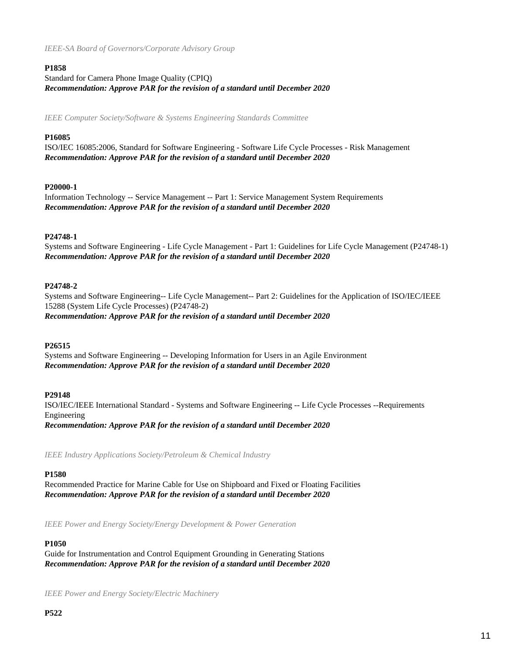# **P1858**

# Standard for Camera Phone Image Quality (CPIQ) *Recommendation: Approve PAR for the revision of a standard until December 2020*

*IEEE Computer Society/Software & Systems Engineering Standards Committee*

# **P16085**

ISO/IEC 16085:2006, Standard for Software Engineering - Software Life Cycle Processes - Risk Management *Recommendation: Approve PAR for the revision of a standard until December 2020*

# **P20000-1**

Information Technology -- Service Management -- Part 1: Service Management System Requirements *Recommendation: Approve PAR for the revision of a standard until December 2020*

# **P24748-1**

Systems and Software Engineering - Life Cycle Management - Part 1: Guidelines for Life Cycle Management (P24748-1) *Recommendation: Approve PAR for the revision of a standard until December 2020*

# **P24748-2**

Systems and Software Engineering-- Life Cycle Management-- Part 2: Guidelines for the Application of ISO/IEC/IEEE 15288 (System Life Cycle Processes) (P24748-2) *Recommendation: Approve PAR for the revision of a standard until December 2020*

# **P26515**

Systems and Software Engineering -- Developing Information for Users in an Agile Environment *Recommendation: Approve PAR for the revision of a standard until December 2020*

# **P29148**

ISO/IEC/IEEE International Standard - Systems and Software Engineering -- Life Cycle Processes --Requirements Engineering *Recommendation: Approve PAR for the revision of a standard until December 2020*

*IEEE Industry Applications Society/Petroleum & Chemical Industry*

# **P1580**

Recommended Practice for Marine Cable for Use on Shipboard and Fixed or Floating Facilities *Recommendation: Approve PAR for the revision of a standard until December 2020*

*IEEE Power and Energy Society/Energy Development & Power Generation*

# **P1050**

Guide for Instrumentation and Control Equipment Grounding in Generating Stations *Recommendation: Approve PAR for the revision of a standard until December 2020*

*IEEE Power and Energy Society/Electric Machinery*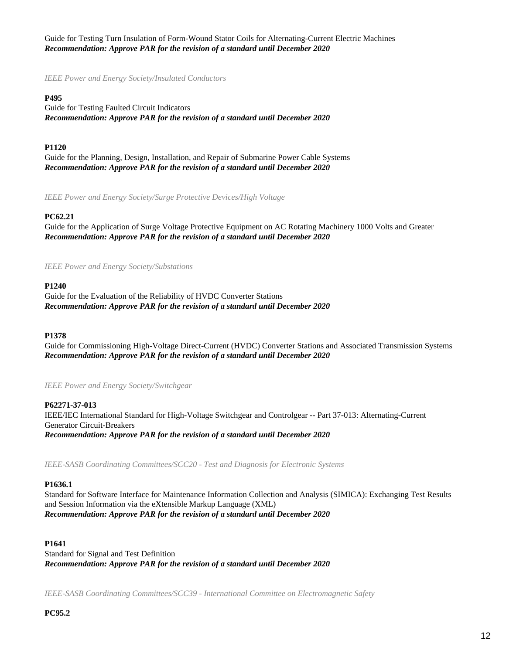Guide for Testing Turn Insulation of Form-Wound Stator Coils for Alternating-Current Electric Machines *Recommendation: Approve PAR for the revision of a standard until December 2020*

*IEEE Power and Energy Society/Insulated Conductors*

#### **P495**

Guide for Testing Faulted Circuit Indicators *Recommendation: Approve PAR for the revision of a standard until December 2020*

### **P1120**

Guide for the Planning, Design, Installation, and Repair of Submarine Power Cable Systems *Recommendation: Approve PAR for the revision of a standard until December 2020*

*IEEE Power and Energy Society/Surge Protective Devices/High Voltage*

#### **PC62.21**

Guide for the Application of Surge Voltage Protective Equipment on AC Rotating Machinery 1000 Volts and Greater *Recommendation: Approve PAR for the revision of a standard until December 2020*

*IEEE Power and Energy Society/Substations*

#### **P1240**

Guide for the Evaluation of the Reliability of HVDC Converter Stations *Recommendation: Approve PAR for the revision of a standard until December 2020*

#### **P1378**

Guide for Commissioning High-Voltage Direct-Current (HVDC) Converter Stations and Associated Transmission Systems *Recommendation: Approve PAR for the revision of a standard until December 2020*

*IEEE Power and Energy Society/Switchgear*

**P62271-37-013** IEEE/IEC International Standard for High-Voltage Switchgear and Controlgear -- Part 37-013: Alternating-Current Generator Circuit-Breakers *Recommendation: Approve PAR for the revision of a standard until December 2020*

*IEEE-SASB Coordinating Committees/SCC20 - Test and Diagnosis for Electronic Systems*

#### **P1636.1**

Standard for Software Interface for Maintenance Information Collection and Analysis (SIMICA): Exchanging Test Results and Session Information via the eXtensible Markup Language (XML) *Recommendation: Approve PAR for the revision of a standard until December 2020*

#### **P1641**

Standard for Signal and Test Definition *Recommendation: Approve PAR for the revision of a standard until December 2020*

*IEEE-SASB Coordinating Committees/SCC39 - International Committee on Electromagnetic Safety*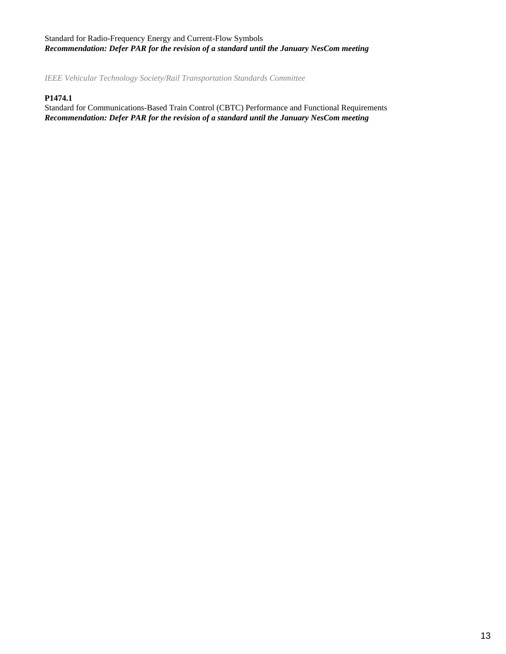# Standard for Radio-Frequency Energy and Current-Flow Symbols *Recommendation: Defer PAR for the revision of a standard until the January NesCom meeting*

*IEEE Vehicular Technology Society/Rail Transportation Standards Committee*

# **P1474.1**

Standard for Communications-Based Train Control (CBTC) Performance and Functional Requirements *Recommendation: Defer PAR for the revision of a standard until the January NesCom meeting*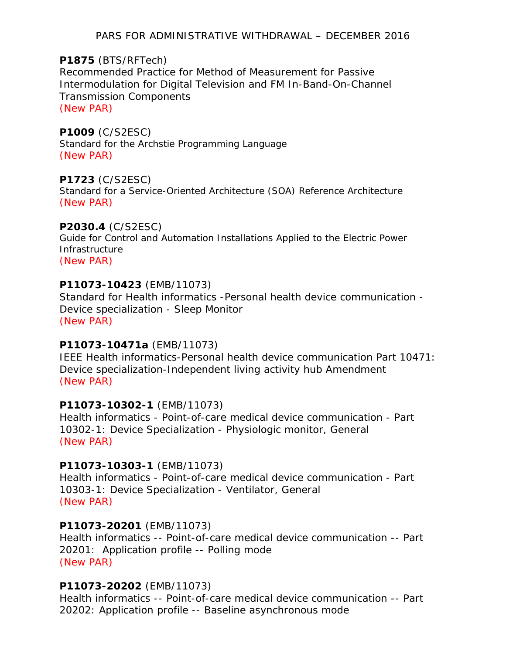PARS FOR ADMINISTRATIVE WITHDRAWAL – DECEMBER 2016

# **P1875** (BTS/RFTech)

Recommended Practice for Method of Measurement for Passive Intermodulation for Digital Television and FM In-Band-On-Channel Transmission Components (New PAR)

# **P1009** (C/S2ESC)

Standard for the Archstie Programming Language (New PAR)

# **P1723** (C/S2ESC)

Standard for a Service-Oriented Architecture (SOA) Reference Architecture (New PAR)

# **P2030.4** (C/S2ESC)

Guide for Control and Automation Installations Applied to the Electric Power Infrastructure

(New PAR)

# **P11073-10423** (EMB/11073)

Standard for Health informatics -Personal health device communication - Device specialization - Sleep Monitor (New PAR)

# **P11073-10471a** (EMB/11073)

IEEE Health informatics-Personal health device communication Part 10471: Device specialization-Independent living activity hub Amendment (New PAR)

# **P11073-10302-1** (EMB/11073)

Health informatics - Point-of-care medical device communication - Part 10302-1: Device Specialization - Physiologic monitor, General (New PAR)

# **P11073-10303-1** (EMB/11073)

Health informatics - Point-of-care medical device communication - Part 10303-1: Device Specialization - Ventilator, General (New PAR)

# **P11073-20201** (EMB/11073)

Health informatics -- Point-of-care medical device communication -- Part 20201: Application profile -- Polling mode (New PAR)

# **P11073-20202** (EMB/11073)

Health informatics -- Point-of-care medical device communication -- Part 20202: Application profile -- Baseline asynchronous mode